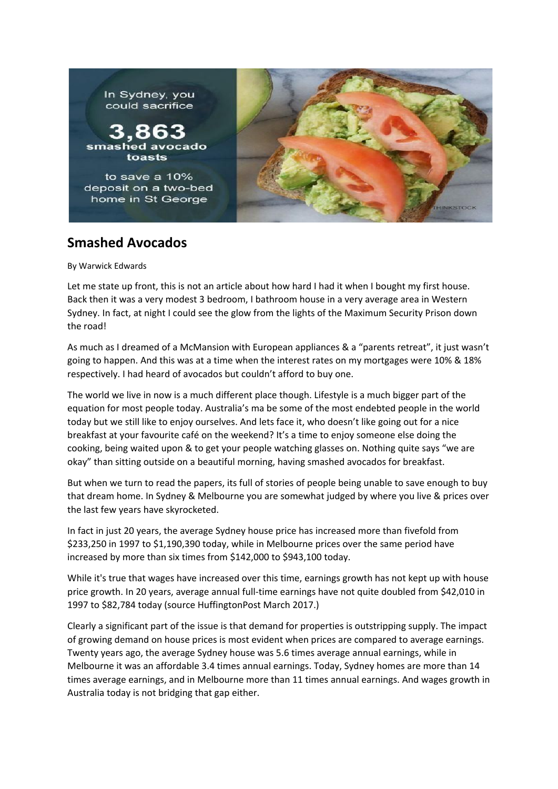

## **Smashed Avocados**

By Warwick Edwards

Let me state up front, this is not an article about how hard I had it when I bought my first house. Back then it was a very modest 3 bedroom, I bathroom house in a very average area in Western Sydney. In fact, at night I could see the glow from the lights of the Maximum Security Prison down the road!

As much as I dreamed of a McMansion with European appliances & a "parents retreat", it just wasn't going to happen. And this was at a time when the interest rates on my mortgages were 10% & 18% respectively. I had heard of avocados but couldn't afford to buy one.

The world we live in now is a much different place though. Lifestyle is a much bigger part of the equation for most people today. Australia's ma be some of the most endebted people in the world today but we still like to enjoy ourselves. And lets face it, who doesn't like going out for a nice breakfast at your favourite café on the weekend? It's a time to enjoy someone else doing the cooking, being waited upon & to get your people watching glasses on. Nothing quite says "we are okay" than sitting outside on a beautiful morning, having smashed avocados for breakfast.

But when we turn to read the papers, its full of stories of people being unable to save enough to buy that dream home. In Sydney & Melbourne you are somewhat judged by where you live & prices over the last few years have skyrocketed.

In fact in just 20 years, the average Sydney house price has increased more than fivefold from \$233,250 in 1997 to \$1,190,390 today, while in Melbourne prices over the same period have increased by more than six times from \$142,000 to \$943,100 today.

While it's true that wages have increased over this time, earnings growth has not kept up with house price growth. In 20 years, average annual full-time earnings have not quite doubled from \$42,010 in 1997 to \$82,784 today (source HuffingtonPost March 2017.)

Clearly a significant part of the issue is that demand for properties is outstripping supply. The impact of growing demand on house prices is most evident when prices are compared to average earnings. Twenty years ago, the average Sydney house was 5.6 times average annual earnings, while in Melbourne it was an affordable 3.4 times annual earnings. Today, Sydney homes are more than 14 times average earnings, and in Melbourne more than 11 times annual earnings. And wages growth in Australia today is not bridging that gap either.